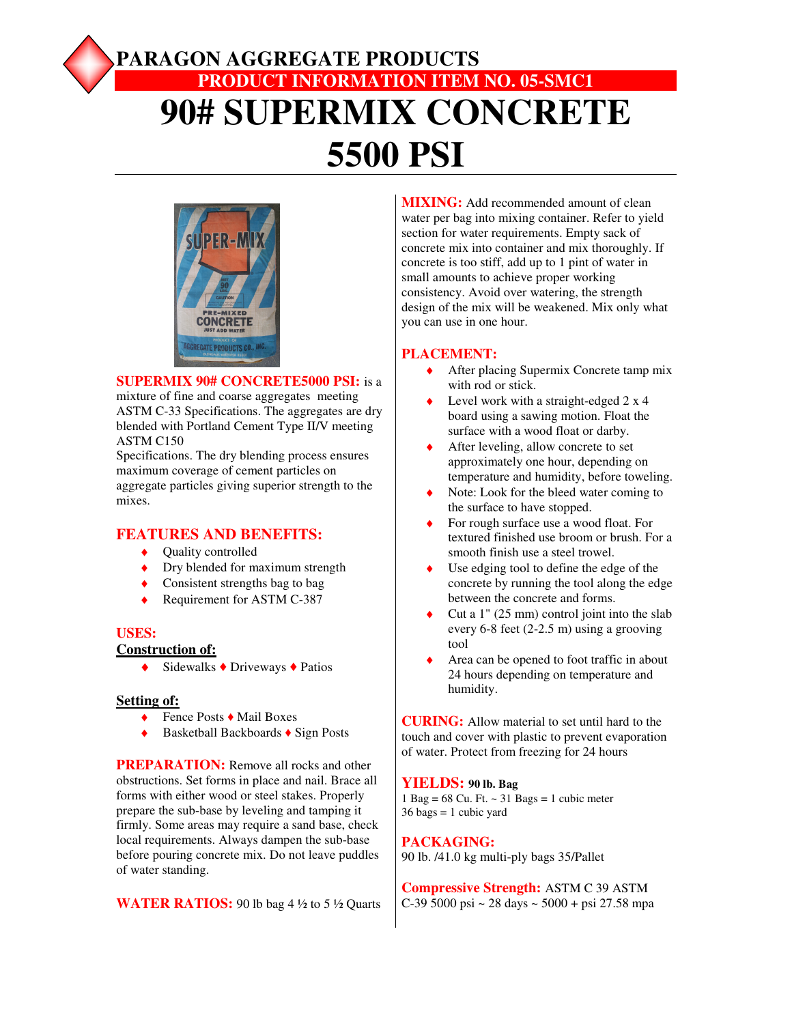# **PARAGON AGGREGATE PRODUCTS PRODUCT INFORMATION ITEM NO. 05-SMC1 90# SUPERMIX CONCRETE 5500 PSI**



#### **SUPERMIX 90# CONCRETE5000 PSI:** is a

mixture of fine and coarse aggregates meeting ASTM C-33 Specifications. The aggregates are dry blended with Portland Cement Type II/V meeting ASTM C150

Specifications. The dry blending process ensures maximum coverage of cement particles on aggregate particles giving superior strength to the mixes.

# **FEATURES AND BENEFITS:**

- ◆ Quality controlled
- Dry blended for maximum strength
- $\bullet$  Consistent strengths bag to bag
- ◆ Requirement for ASTM C-387

# **USES:**

### **Construction of:**

♦ Sidewalks ♦ Driveways ♦ Patios

#### **Setting of:**

- Fence Posts ♦ Mail Boxes
- Basketball Backboards ♦ Sign Posts

**PREPARATION:** Remove all rocks and other obstructions. Set forms in place and nail. Brace all forms with either wood or steel stakes. Properly prepare the sub-base by leveling and tamping it firmly. Some areas may require a sand base, check local requirements. Always dampen the sub-base before pouring concrete mix. Do not leave puddles of water standing.

**WATER RATIOS:** 90 lb bag 4  $\frac{1}{2}$  to 5  $\frac{1}{2}$  Quarts

**MIXING:** Add recommended amount of clean water per bag into mixing container. Refer to yield section for water requirements. Empty sack of concrete mix into container and mix thoroughly. If concrete is too stiff, add up to 1 pint of water in small amounts to achieve proper working consistency. Avoid over watering, the strength design of the mix will be weakened. Mix only what you can use in one hour.

## **PLACEMENT:**

- ◆ After placing Supermix Concrete tamp mix with rod or stick.
- Level work with a straight-edged  $2 \times 4$ board using a sawing motion. Float the surface with a wood float or darby.
- After leveling, allow concrete to set approximately one hour, depending on temperature and humidity, before toweling.
- Note: Look for the bleed water coming to the surface to have stopped.
- For rough surface use a wood float. For textured finished use broom or brush. For a smooth finish use a steel trowel.
- Use edging tool to define the edge of the concrete by running the tool along the edge between the concrete and forms.
- Cut a  $1$ " (25 mm) control joint into the slab every 6-8 feet (2-2.5 m) using a grooving tool
- Area can be opened to foot traffic in about 24 hours depending on temperature and humidity.

**CURING:** Allow material to set until hard to the touch and cover with plastic to prevent evaporation of water. Protect from freezing for 24 hours

### **YIELDS: 90 lb. Bag**

1 Bag =  $68$  Cu. Ft.  $\sim$  31 Bags = 1 cubic meter  $36 \text{ bags} = 1 \text{ cubic yard}$ 

### **PACKAGING:**

90 lb. /41.0 kg multi-ply bags 35/Pallet

**Compressive Strength:** ASTM C 39 ASTM C-39 5000 psi ~ 28 days ~ 5000 + psi 27.58 mpa